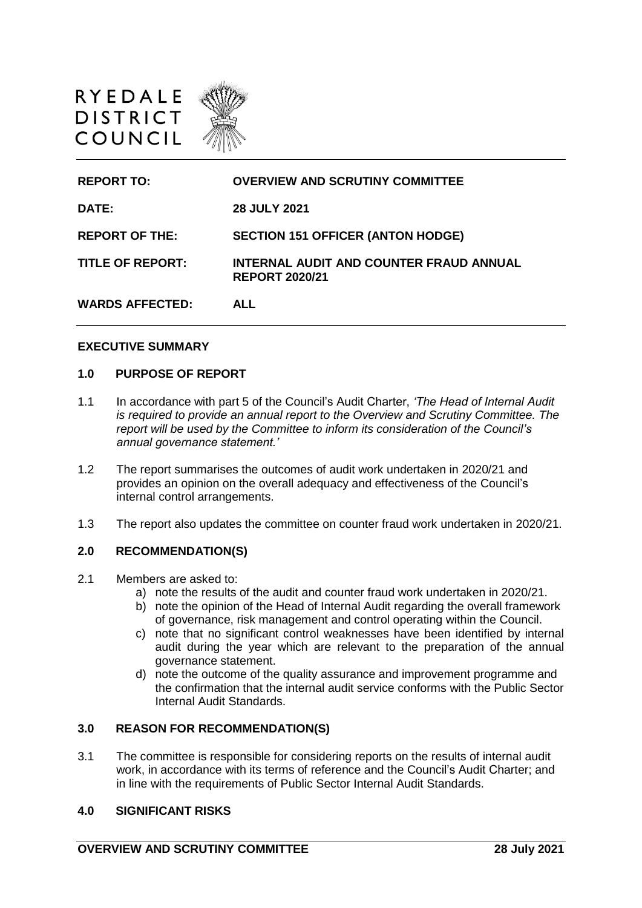

| <b>REPORT TO:</b>       | <b>OVERVIEW AND SCRUTINY COMMITTEE</b>                           |
|-------------------------|------------------------------------------------------------------|
| <b>DATE:</b>            | <b>28 JULY 2021</b>                                              |
| <b>REPORT OF THE:</b>   | <b>SECTION 151 OFFICER (ANTON HODGE)</b>                         |
| <b>TITLE OF REPORT:</b> | INTERNAL AUDIT AND COUNTER FRAUD ANNUAL<br><b>REPORT 2020/21</b> |
| <b>WARDS AFFECTED:</b>  | ALL                                                              |

## **EXECUTIVE SUMMARY**

### **1.0 PURPOSE OF REPORT**

- 1.1 In accordance with part 5 of the Council's Audit Charter, *'The Head of Internal Audit is required to provide an annual report to the Overview and Scrutiny Committee. The report will be used by the Committee to inform its consideration of the Council's annual governance statement.'*
- 1.2 The report summarises the outcomes of audit work undertaken in 2020/21 and provides an opinion on the overall adequacy and effectiveness of the Council's internal control arrangements.
- 1.3 The report also updates the committee on counter fraud work undertaken in 2020/21.

#### **2.0 RECOMMENDATION(S)**

- 2.1 Members are asked to:
	- a) note the results of the audit and counter fraud work undertaken in 2020/21.
	- b) note the opinion of the Head of Internal Audit regarding the overall framework of governance, risk management and control operating within the Council.
	- c) note that no significant control weaknesses have been identified by internal audit during the year which are relevant to the preparation of the annual governance statement.
	- d) note the outcome of the quality assurance and improvement programme and the confirmation that the internal audit service conforms with the Public Sector Internal Audit Standards.

## **3.0 REASON FOR RECOMMENDATION(S)**

3.1 The committee is responsible for considering reports on the results of internal audit work, in accordance with its terms of reference and the Council's Audit Charter; and in line with the requirements of Public Sector Internal Audit Standards.

## **4.0 SIGNIFICANT RISKS**